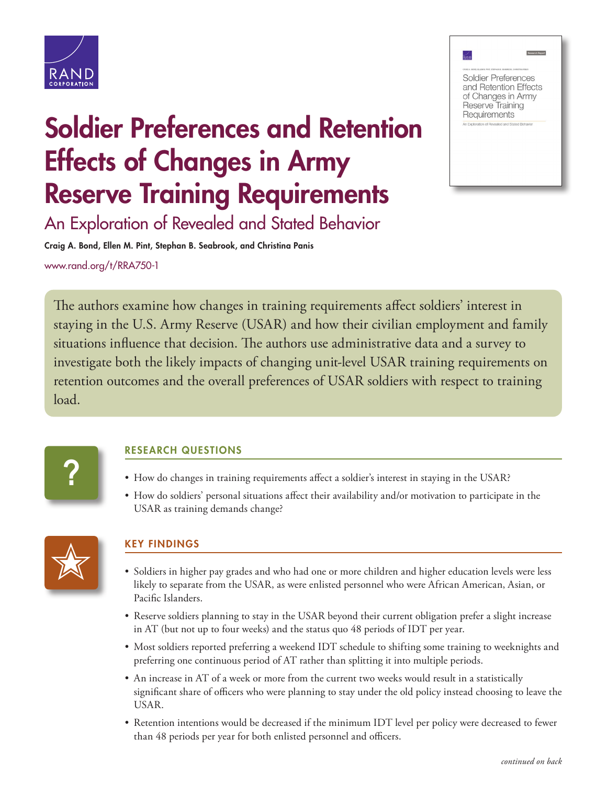

# Soldier Preferences and Retention Effects of Changes in Army Reserve Training Requirements



**RAND** 

An Exploration of Revealed and Stated Behavior

Craig A. Bond, Ellen M. Pint, Stephan B. Seabrook, and Christina Panis

[www.rand.org/t/RR](http://www.rand.org/t/RRA750-1)A750-1

The authors examine how changes in training requirements affect soldiers' interest in staying in the U.S. Army Reserve (USAR) and how their civilian employment and family situations influence that decision. The authors use administrative data and a survey to investigate both the likely impacts of changing unit-level USAR training requirements on retention outcomes and the overall preferences of USAR soldiers with respect to training load.



### RESEARCH QUESTIONS

- How do changes in training requirements affect a soldier's interest in staying in the USAR?
- How do soldiers' personal situations affect their availability and/or motivation to participate in the USAR as training demands change?



## KEY FINDINGS

- Soldiers in higher pay grades and who had one or more children and higher education levels were less likely to separate from the USAR, as were enlisted personnel who were African American, Asian, or Pacific Islanders.
- Reserve soldiers planning to stay in the USAR beyond their current obligation prefer a slight increase in AT (but not up to four weeks) and the status quo 48 periods of IDT per year.
- Most soldiers reported preferring a weekend IDT schedule to shifting some training to weeknights and preferring one continuous period of AT rather than splitting it into multiple periods.
- An increase in AT of a week or more from the current two weeks would result in a statistically significant share of officers who were planning to stay under the old policy instead choosing to leave the USAR.
- Retention intentions would be decreased if the minimum IDT level per policy were decreased to fewer than 48 periods per year for both enlisted personnel and officers.